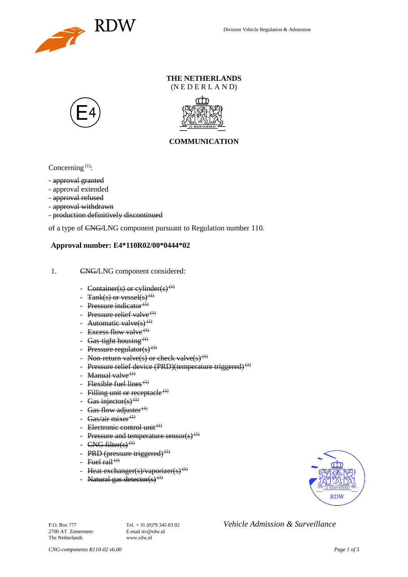

### **THE NETHERLANDS** (N E D E R L A N D)





## **COMMUNICATION**

Concerning  $(1)$ :

- approval granted
- approval extended
- approval refused
- approval withdrawn
- production definitively discontinued

of a type of CNG/LNG component pursuant to Regulation number 110.

### **Approval number: E4\*110R02/00\*0444\*02**

- 1. CNG/LNG component considered:
	- Container(s) or cylinder(s)<sup>(1)</sup>
	- Tank(s) or vessel(s)<sup>(1)</sup>
	- Pressure indicator $(1)$
	- Pressure relief valve<sup> $(1)$ </sup>
	- Automatic valve $(s)$ <sup>(1)</sup>
	- Excess flow valve<sup> $(1)$ </sup>
	- Gas-tight housing<sup> $(1)$ </sup>
	- Pressure regulator(s) $(1)$
	- Non-return valve(s) or check valve(s)<sup>(1)</sup>
	- Pressure relief device (PRD)(temperature triggered)<sup>(1)</sup>
	- Manual valve $<sup>(1)</sup>$ </sup>
	- Flexible fuel lines<sup> $(1)$ </sup>
	- Filling unit or receptacle  $(1)$
	- Gas injector(s)<sup>(1)</sup>
	- Gas flow adjuster $^{(1)}$
	- Gas/air mixer<sup>(1)</sup>
	- Electronic control unit<sup>(1)</sup>
	- Pressure and temperature sensor(s)<sup>(1)</sup>
	- $CNG$  filter(s)<sup>(1)</sup>
	- PRD (pressure triggered) $<sup>(1)</sup>$ </sup>
	- Fuel rail<sup> $(1)$ </sup>
	- Heat exchanger(s)/vaporizer(s)<sup>(1)</sup>
	- Natural gas detector(s)<sup>(1)</sup>



2700 AT Zoetermeer The Netherlands www.rdw.nl

P.O. Box 777<br> **P.O. Box 777** Tel. + 31 (0)79 345 83 02 *Vehicle Admission & Surveillance*<br>
F-mail ttv@rdw.nl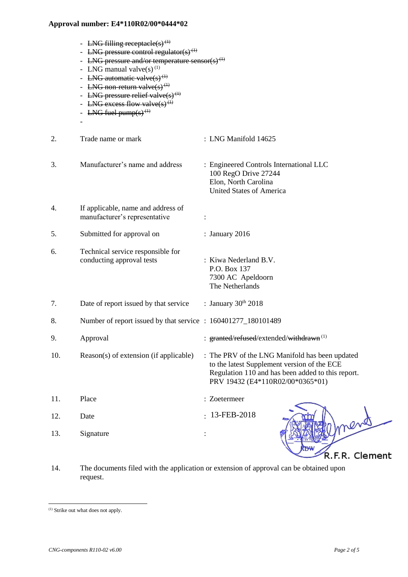| LNG filling receptacle(s) <sup>(1)</sup> |
|------------------------------------------|
|------------------------------------------|

- LNG pressure control regulator(s)<sup>(1)</sup>
- LNG pressure and/or temperature sensor(s)<sup>(1)</sup>
- LNG manual valve $(s)$ <sup>(1)</sup>
- LNG automatic valve $(s)$ <sup>(1)</sup>
- LNG non-return valve $(s)$ <sup> $(1)$ </sup>
- LNG pressure relief valve $(s)$ <sup>(1)</sup>
- LNG excess flow valve(s)<sup>(1)</sup>
- LNG fuel pump $(s)$ <sup> $(1)$ </sup>

-

- 2. Trade name or mark : LNG Manifold 14625 3. Manufacturer's name and address : Engineered Controls International LLC 100 RegO Drive 27244 Elon, North Carolina United States of America 4. If applicable, name and address of manufacturer's representative : 5. Submitted for approval on : January 2016 6. Technical service responsible for conducting approval tests : Kiwa Nederland B.V. P.O. Box 137 7300 AC Apeldoorn The Netherlands 7. Date of report issued by that service  $\therefore$  January 30<sup>th</sup> 2018 8. Number of report issued by that service : 160401277 180101489 9. Approval : granted/refused/extended/withdrawn<sup>(1)</sup> 10. Reason(s) of extension (if applicable) : The PRV of the LNG Manifold has been updated to the latest Supplement version of the ECE Regulation 110 and has been added to this report. PRV 19432 (E4\*110R02/00\*0365\*01) 11. Place : Zoetermeer  $-13$ -FEB-2018 12. Date : 13. Signature : R.F.R. Clement
- 14. The documents filed with the application or extension of approval can be obtained upon request.

l

<sup>(1)</sup> Strike out what does not apply.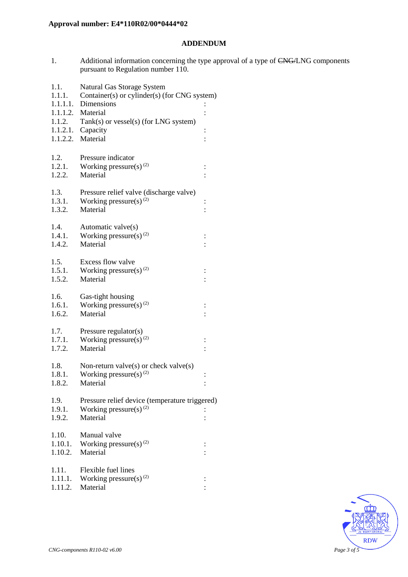## **ADDENDUM**

1. Additional information concerning the type approval of a type of CNG/LNG components pursuant to Regulation number 110.

| 1.1.<br>1.1.1.   | Natural Gas Storage System<br>Container(s) or cylinder(s) (for CNG system) |                |
|------------------|----------------------------------------------------------------------------|----------------|
| 1.1.1.1.         | Dimensions                                                                 |                |
|                  | 1.1.1.2. Material                                                          |                |
| 1.1.2.           | Tank(s) or vessel(s) (for LNG system)                                      |                |
|                  | $1.1.2.1.$ Capacity                                                        | $\vdots$       |
|                  | 1.1.2.2. Material                                                          |                |
|                  |                                                                            |                |
| 1.2.             | Pressure indicator                                                         |                |
| 1.2.1.           | Working pressure(s) $(2)$                                                  | $\vdots$       |
| 1.2.2.           | Material                                                                   |                |
| 1.3.             |                                                                            |                |
| 1.3.1.           | Pressure relief valve (discharge valve)<br>Working pressure(s) $^{(2)}$    |                |
| 1.3.2.           | Material                                                                   | $\vdots$       |
|                  |                                                                            |                |
| 1.4.             | Automatic valve(s)                                                         |                |
| 1.4.1.           | Working pressure(s) <sup>(2)</sup>                                         |                |
| 1.4.2.           | Material                                                                   |                |
|                  |                                                                            |                |
| 1.5.             | Excess flow valve                                                          |                |
| 1.5.1.           | Working pressure(s) $^{(2)}$                                               | $\vdots$       |
| 1.5.2.           | Material                                                                   |                |
| 1.6.             | Gas-tight housing                                                          |                |
| 1.6.1.           | Working pressure(s) $(2)$                                                  |                |
| 1.6.2.           | Material                                                                   |                |
|                  |                                                                            |                |
| 1.7.             | Pressure regulator(s)                                                      |                |
| 1.7.1.           | Working pressure(s) <sup>(2)</sup>                                         | $\vdots$       |
| 1.7.2.           | Material                                                                   |                |
|                  |                                                                            |                |
| 1.8.             | Non-return valve $(s)$ or check valve $(s)$                                |                |
| 1.8.1.           | Working pressure(s) $^{(2)}$<br>Material                                   | $\vdots$       |
| 1.8.2.           |                                                                            | $\vdots$       |
| 1.9.             | Pressure relief device (temperature triggered)                             |                |
| 1.9.1.           | Working pressure(s) $(2)$                                                  |                |
| 1.9.2.           | Material                                                                   |                |
|                  |                                                                            |                |
| 1.10.            | Manual valve                                                               |                |
| 1.10.1.          | Working pressure(s) $^{(2)}$                                               | $\ddot{\cdot}$ |
| 1.10.2.          | Material                                                                   |                |
|                  |                                                                            |                |
| 1.11.<br>1.11.1. | Flexible fuel lines<br>Working pressure(s) $(2)$                           |                |
| 1.11.2.          | Material                                                                   |                |
|                  |                                                                            |                |

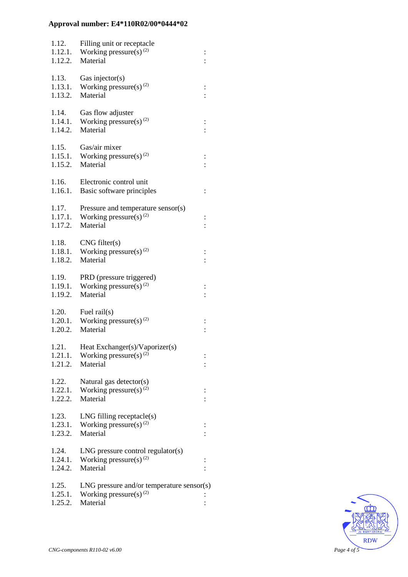| 1.12.<br>1.12.1.<br>1.12.2. | Filling unit or receptacle<br>Working pressure(s) $^{(2)}$<br>Material                        | $\vdots$       |
|-----------------------------|-----------------------------------------------------------------------------------------------|----------------|
| 1.13.<br>1.13.1.<br>1.13.2. | Gas injector(s)<br>Working pressure(s) $^{(2)}$<br>Material                                   |                |
| 1.14.<br>1.14.1.<br>1.14.2. | Gas flow adjuster<br>Working pressure(s) $(2)$<br>Material                                    |                |
| 1.15.<br>1.15.1.<br>1.15.2. | Gas/air mixer<br>Working pressure(s) $^{(2)}$<br>Material                                     |                |
| 1.16.<br>1.16.1.            | Electronic control unit<br>Basic software principles                                          | $\ddot{\cdot}$ |
| 1.17.<br>1.17.1.<br>1.17.2. | Pressure and temperature sensor(s)<br>Working pressure(s) $^{(2)}$<br>Material                |                |
| 1.18.<br>1.18.2.            | CNG filter(s)<br>1.18.1. Working pressure(s) <sup>(2)</sup><br>Material                       |                |
| 1.19.<br>1.19.1.<br>1.19.2. | PRD (pressure triggered)<br>Working pressure(s) $(2)$<br>Material                             |                |
| 1.20.<br>1.20.2.            | Fuel rail $(s)$<br>1.20.1. Working pressure(s) <sup>(2)</sup><br>Material                     |                |
| 1.21.<br>1.21.1.<br>1.21.2. | Heat Exchanger(s)/Vaporizer(s)<br>Working pressure(s) $(2)$<br>Material                       |                |
| 1.22.<br>1.22.1.<br>1.22.2. | Natural gas detector(s)<br>Working pressure(s) $^{(2)}$<br>Material                           |                |
| 1.23.<br>1.23.1.<br>1.23.2. | $LNG$ filling receptacle $(s)$<br>Working pressure(s) $^{(2)}$<br>Material                    |                |
| 1.24.<br>1.24.1.<br>1.24.2. | $LNG$ pressure control regulator(s)<br>Working pressure(s) $^{(2)}$<br>Material               |                |
| 1.25.<br>1.25.1.<br>1.25.2. | $LNG$ pressure and/or temperature sensor(s)<br>Working pressure(s) <sup>(2)</sup><br>Material |                |